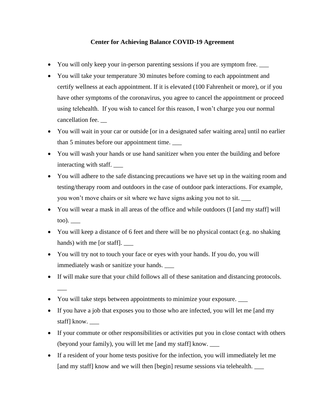# **Center for Achieving Balance COVID-19 Agreement**

- You will only keep your in-person parenting sessions if you are symptom free.
- You will take your temperature 30 minutes before coming to each appointment and certify wellness at each appointment. If it is elevated (100 Fahrenheit or more), or if you have other symptoms of the coronavirus, you agree to cancel the appointment or proceed using telehealth. If you wish to cancel for this reason, I won't charge you our normal cancellation fee. \_\_
- You will wait in your car or outside [or in a designated safer waiting area] until no earlier than 5 minutes before our appointment time. \_\_\_
- You will wash your hands or use hand sanitizer when you enter the building and before interacting with staff. \_\_\_
- You will adhere to the safe distancing precautions we have set up in the waiting room and testing/therapy room and outdoors in the case of outdoor park interactions. For example, you won't move chairs or sit where we have signs asking you not to sit.
- You will wear a mask in all areas of the office and while outdoors (I [and my staff] will too). \_\_\_
- You will keep a distance of 6 feet and there will be no physical contact (e.g. no shaking hands) with me [or staff].
- You will try not to touch your face or eyes with your hands. If you do, you will immediately wash or sanitize your hands. \_\_\_
- If will make sure that your child follows all of these sanitation and distancing protocols.
- You will take steps between appointments to minimize your exposure.

 $\overline{\phantom{a}}$ 

- If you have a job that exposes you to those who are infected, you will let me [and my staff] know. \_\_\_
- If your commute or other responsibilities or activities put you in close contact with others (beyond your family), you will let me [and my staff] know. \_\_\_
- If a resident of your home tests positive for the infection, you will immediately let me [and my staff] know and we will then [begin] resume sessions via telehealth. \_\_\_\_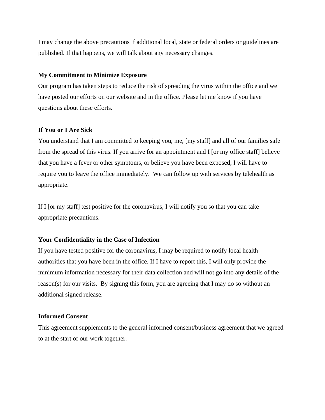I may change the above precautions if additional local, state or federal orders or guidelines are published. If that happens, we will talk about any necessary changes.

#### **My Commitment to Minimize Exposure**

Our program has taken steps to reduce the risk of spreading the virus within the office and we have posted our efforts on our website and in the office. Please let me know if you have questions about these efforts.

## **If You or I Are Sick**

You understand that I am committed to keeping you, me, [my staff] and all of our families safe from the spread of this virus. If you arrive for an appointment and I [or my office staff] believe that you have a fever or other symptoms, or believe you have been exposed, I will have to require you to leave the office immediately. We can follow up with services by telehealth as appropriate.

If I [or my staff] test positive for the coronavirus, I will notify you so that you can take appropriate precautions.

## **Your Confidentiality in the Case of Infection**

If you have tested positive for the coronavirus, I may be required to notify local health authorities that you have been in the office. If I have to report this, I will only provide the minimum information necessary for their data collection and will not go into any details of the reason(s) for our visits. By signing this form, you are agreeing that I may do so without an additional signed release.

### **Informed Consent**

This agreement supplements to the general informed consent/business agreement that we agreed to at the start of our work together.